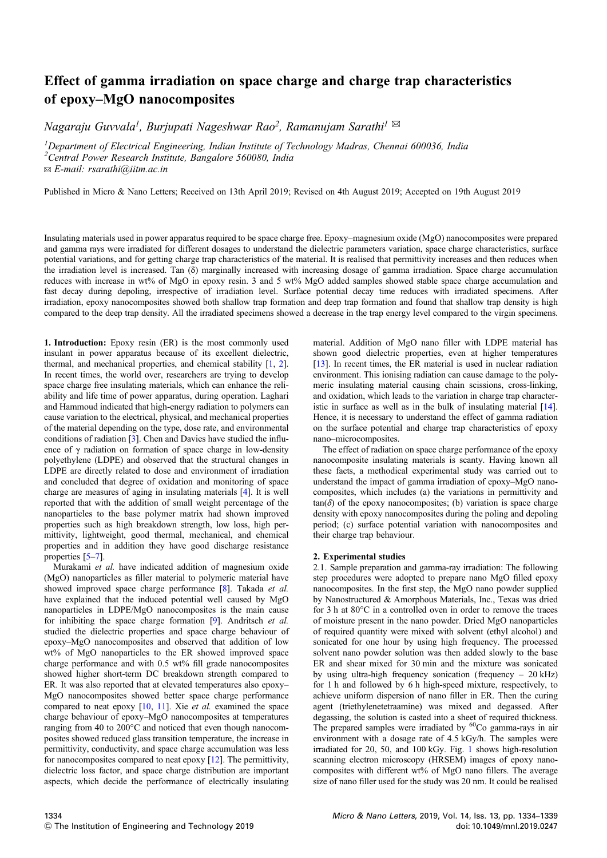## Effect of gamma irradiation on space charge and charge trap characteristics of epoxy–MgO nanocomposites

*Nagaraju Guvvala<sup>1</sup> , Burjupati Nageshwar Rao<sup>2</sup> , Ramanujam Sarathi<sup>1</sup>* ✉

*<sup>1</sup>Department of Electrical Engineering, Indian Institute of Technology Madras, Chennai 600036, India*

*<sup>2</sup>Central Power Research Institute, Bangalore 560080, India*

✉ *E-mail: rsarathi@iitm.ac.in*

Published in Micro & Nano Letters; Received on 13th April 2019; Revised on 4th August 2019; Accepted on 19th August 2019

Insulating materials used in power apparatus required to be space charge free. Epoxy–magnesium oxide (MgO) nanocomposites were prepared and gamma rays were irradiated for different dosages to understand the dielectric parameters variation, space charge characteristics, surface potential variations, and for getting charge trap characteristics of the material. It is realised that permittivity increases and then reduces when the irradiation level is increased. Tan (δ) marginally increased with increasing dosage of gamma irradiation. Space charge accumulation reduces with increase in wt% of MgO in epoxy resin. 3 and 5 wt% MgO added samples showed stable space charge accumulation and fast decay during depoling, irrespective of irradiation level. Surface potential decay time reduces with irradiated specimens. After irradiation, epoxy nanocomposites showed both shallow trap formation and deep trap formation and found that shallow trap density is high compared to the deep trap density. All the irradiated specimens showed a decrease in the trap energy level compared to the virgin specimens.

1. Introduction: Epoxy resin (ER) is the most commonly used insulant in power apparatus because of its excellent dielectric, thermal, and mechanical properties, and chemical stability [1, 2]. In recent times, the world over, researchers are trying to develop space charge free insulating materials, which can enhance the reliability and life time of power apparatus, during operation. Laghari and Hammoud indicated that high-energy radiation to polymers can cause variation to the electrical, physical, and mechanical properties of the material depending on the type, dose rate, and environmental conditions of radiation [3]. Chen and Davies have studied the influence of  $\gamma$  radiation on formation of space charge in low-density polyethylene (LDPE) and observed that the structural changes in LDPE are directly related to dose and environment of irradiation and concluded that degree of oxidation and monitoring of space charge are measures of aging in insulating materials [4]. It is well reported that with the addition of small weight percentage of the nanoparticles to the base polymer matrix had shown improved properties such as high breakdown strength, low loss, high permittivity, lightweight, good thermal, mechanical, and chemical properties and in addition they have good discharge resistance properties [5–7].

Murakami *et al.* have indicated addition of magnesium oxide (MgO) nanoparticles as filler material to polymeric material have showed improved space charge performance [8]. Takada *et al.* have explained that the induced potential well caused by MgO nanoparticles in LDPE/MgO nanocomposites is the main cause for inhibiting the space charge formation [9]. Andritsch *et al.* studied the dielectric properties and space charge behaviour of epoxy–MgO nanocomposites and observed that addition of low wt% of MgO nanoparticles to the ER showed improved space charge performance and with 0.5 wt% fill grade nanocomposites showed higher short-term DC breakdown strength compared to ER. It was also reported that at elevated temperatures also epoxy– MgO nanocomposites showed better space charge performance compared to neat epoxy [10, 11]. Xie *et al.* examined the space charge behaviour of epoxy–MgO nanocomposites at temperatures ranging from 40 to 200°C and noticed that even though nanocomposites showed reduced glass transition temperature, the increase in permittivity, conductivity, and space charge accumulation was less for nanocomposites compared to neat epoxy [12]. The permittivity, dielectric loss factor, and space charge distribution are important aspects, which decide the performance of electrically insulating material. Addition of MgO nano filler with LDPE material has shown good dielectric properties, even at higher temperatures [13]. In recent times, the ER material is used in nuclear radiation environment. This ionising radiation can cause damage to the polymeric insulating material causing chain scissions, cross-linking, and oxidation, which leads to the variation in charge trap characteristic in surface as well as in the bulk of insulating material [14]. Hence, it is necessary to understand the effect of gamma radiation on the surface potential and charge trap characteristics of epoxy nano–microcomposites.

The effect of radiation on space charge performance of the epoxy nanocomposite insulating materials is scanty. Having known all these facts, a methodical experimental study was carried out to understand the impact of gamma irradiation of epoxy–MgO nanocomposites, which includes (a) the variations in permittivity and  $tan(\delta)$  of the epoxy nanocomposites; (b) variation is space charge density with epoxy nanocomposites during the poling and depoling period; (c) surface potential variation with nanocomposites and their charge trap behaviour.

## 2. Experimental studies

2.1. Sample preparation and gamma-ray irradiation: The following step procedures were adopted to prepare nano MgO filled epoxy nanocomposites. In the first step, the MgO nano powder supplied by Nanostructured & Amorphous Materials, Inc., Texas was dried for 3 h at 80°C in a controlled oven in order to remove the traces of moisture present in the nano powder. Dried MgO nanoparticles of required quantity were mixed with solvent (ethyl alcohol) and sonicated for one hour by using high frequency. The processed solvent nano powder solution was then added slowly to the base ER and shear mixed for 30 min and the mixture was sonicated by using ultra-high frequency sonication (frequency – 20 kHz) for 1 h and followed by 6 h high-speed mixture, respectively, to achieve uniform dispersion of nano filler in ER. Then the curing agent (triethylenetetraamine) was mixed and degassed. After degassing, the solution is casted into a sheet of required thickness. The prepared samples were irradiated by  ${}^{60}$ Co gamma-rays in air environment with a dosage rate of 4.5 kGy/h. The samples were irradiated for 20, 50, and 100 kGy. Fig. 1 shows high-resolution scanning electron microscopy (HRSEM) images of epoxy nanocomposites with different wt% of MgO nano fillers. The average size of nano filler used for the study was 20 nm. It could be realised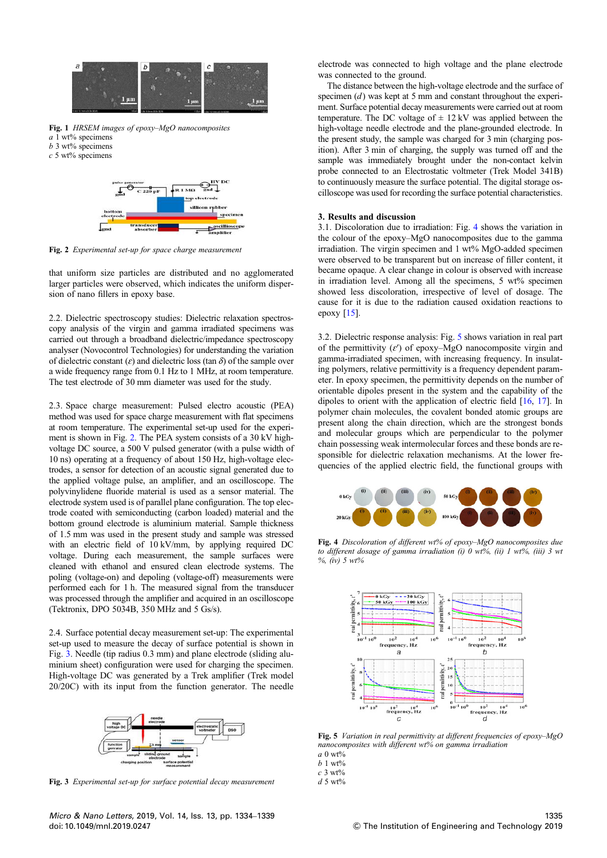

Fig. 1 *HRSEM images of epoxy*–*MgO nanocomposites a* 1 wt% specimens *b* 3 wt% specimens





Fig. 2 *Experimental set-up for space charge measurement*

that uniform size particles are distributed and no agglomerated larger particles were observed, which indicates the uniform dispersion of nano fillers in epoxy base.

2.2. Dielectric spectroscopy studies: Dielectric relaxation spectroscopy analysis of the virgin and gamma irradiated specimens was carried out through a broadband dielectric/impedance spectroscopy analyser (Novocontrol Technologies) for understanding the variation of dielectric constant  $(\varepsilon)$  and dielectric loss (tan  $\delta$ ) of the sample over a wide frequency range from 0.1 Hz to 1 MHz, at room temperature. The test electrode of 30 mm diameter was used for the study.

2.3. Space charge measurement: Pulsed electro acoustic (PEA) method was used for space charge measurement with flat specimens at room temperature. The experimental set-up used for the experiment is shown in Fig. 2. The PEA system consists of a 30 kV highvoltage DC source, a 500 V pulsed generator (with a pulse width of 10 ns) operating at a frequency of about 150 Hz, high-voltage electrodes, a sensor for detection of an acoustic signal generated due to the applied voltage pulse, an amplifier, and an oscilloscope. The polyvinylidene fluoride material is used as a sensor material. The electrode system used is of parallel plane configuration. The top electrode coated with semiconducting (carbon loaded) material and the bottom ground electrode is aluminium material. Sample thickness of 1.5 mm was used in the present study and sample was stressed with an electric field of 10 kV/mm, by applying required DC voltage. During each measurement, the sample surfaces were cleaned with ethanol and ensured clean electrode systems. The poling (voltage-on) and depoling (voltage-off) measurements were performed each for 1 h. The measured signal from the transducer was processed through the amplifier and acquired in an oscilloscope (Tektronix, DPO 5034B, 350 MHz and 5 Gs/s).

2.4. Surface potential decay measurement set-up: The experimental set-up used to measure the decay of surface potential is shown in Fig. 3. Needle (tip radius 0.3 mm) and plane electrode (sliding aluminium sheet) configuration were used for charging the specimen. High-voltage DC was generated by a Trek amplifier (Trek model 20/20C) with its input from the function generator. The needle



Fig. 3 *Experimental set-up for surface potential decay measurement*

electrode was connected to high voltage and the plane electrode was connected to the ground.

The distance between the high-voltage electrode and the surface of specimen (*d*) was kept at 5 mm and constant throughout the experiment. Surface potential decay measurements were carried out at room temperature. The DC voltage of  $\pm$  12 kV was applied between the high-voltage needle electrode and the plane-grounded electrode. In the present study, the sample was charged for 3 min (charging position). After 3 min of charging, the supply was turned off and the sample was immediately brought under the non-contact kelvin probe connected to an Electrostatic voltmeter (Trek Model 341B) to continuously measure the surface potential. The digital storage oscilloscope was used for recording the surface potential characteristics.

## 3. Results and discussion

3.1. Discoloration due to irradiation: Fig. 4 shows the variation in the colour of the epoxy–MgO nanocomposites due to the gamma irradiation. The virgin specimen and 1 wt% MgO-added specimen were observed to be transparent but on increase of filler content, it became opaque. A clear change in colour is observed with increase in irradiation level. Among all the specimens, 5 wt% specimen showed less discoloration, irrespective of level of dosage. The cause for it is due to the radiation caused oxidation reactions to epoxy [15].

3.2. Dielectric response analysis: Fig. 5 shows variation in real part of the permittivity  $(\varepsilon')$  of epoxy–MgO nanocomposite virgin and gamma-irradiated specimen, with increasing frequency. In insulating polymers, relative permittivity is a frequency dependent parameter. In epoxy specimen, the permittivity depends on the number of orientable dipoles present in the system and the capability of the dipoles to orient with the application of electric field [16, 17]. In polymer chain molecules, the covalent bonded atomic groups are present along the chain direction, which are the strongest bonds and molecular groups which are perpendicular to the polymer chain possessing weak intermolecular forces and these bonds are responsible for dielectric relaxation mechanisms. At the lower frequencies of the applied electric field, the functional groups with



Fig. 4 *Discoloration of different wt% of epoxy*–*MgO nanocomposites due to different dosage of gamma irradiation (i) 0 wt%, (ii) 1 wt%, (iii) 3 wt %, (iv) 5 wt%*



Fig. 5 *Variation in real permittivity at different frequencies of epoxy*–*MgO nanocomposites with different wt% on gamma irradiation a* 0 wt%

*b* 1 wt%

*c* 3 wt%

*d* 5 wt%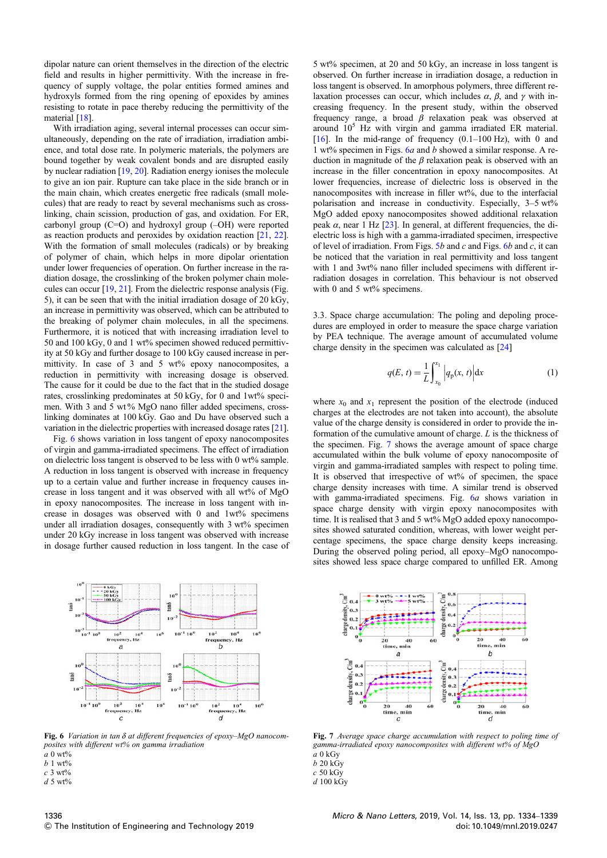dipolar nature can orient themselves in the direction of the electric field and results in higher permittivity. With the increase in frequency of supply voltage, the polar entities formed amines and hydroxyls formed from the ring opening of epoxides by amines resisting to rotate in pace thereby reducing the permittivity of the material [18].

With irradiation aging, several internal processes can occur simultaneously, depending on the rate of irradiation, irradiation ambience, and total dose rate. In polymeric materials, the polymers are bound together by weak covalent bonds and are disrupted easily by nuclear radiation [19, 20]. Radiation energy ionises the molecule to give an ion pair. Rupture can take place in the side branch or in the main chain, which creates energetic free radicals (small molecules) that are ready to react by several mechanisms such as crosslinking, chain scission, production of gas, and oxidation. For ER, carbonyl group  $(C=O)$  and hydroxyl group  $(-OH)$  were reported as reaction products and peroxides by oxidation reaction [21, 22]. With the formation of small molecules (radicals) or by breaking of polymer of chain, which helps in more dipolar orientation under lower frequencies of operation. On further increase in the radiation dosage, the crosslinking of the broken polymer chain molecules can occur [19, 21]. From the dielectric response analysis (Fig. 5), it can be seen that with the initial irradiation dosage of 20 kGy, an increase in permittivity was observed, which can be attributed to the breaking of polymer chain molecules, in all the specimens. Furthermore, it is noticed that with increasing irradiation level to 50 and 100 kGy, 0 and 1 wt% specimen showed reduced permittivity at 50 kGy and further dosage to 100 kGy caused increase in permittivity. In case of 3 and 5 wt% epoxy nanocomposites, a reduction in permittivity with increasing dosage is observed. The cause for it could be due to the fact that in the studied dosage rates, crosslinking predominates at 50 kGy, for 0 and 1wt% specimen. With 3 and 5 wt % MgO nano filler added specimens, crosslinking dominates at 100 kGy. Gao and Du have observed such a variation in the dielectric properties with increased dosage rates [21].

Fig. 6 shows variation in loss tangent of epoxy nanocomposites of virgin and gamma-irradiated specimens. The effect of irradiation on dielectric loss tangent is observed to be less with 0 wt% sample. A reduction in loss tangent is observed with increase in frequency up to a certain value and further increase in frequency causes increase in loss tangent and it was observed with all wt% of MgO in epoxy nanocomposites. The increase in loss tangent with increase in dosages was observed with 0 and 1wt% specimens under all irradiation dosages, consequently with 3 wt% specimen under 20 kGy increase in loss tangent was observed with increase in dosage further caused reduction in loss tangent. In the case of



Fig. 6 *Variation in tan* δ *at different frequencies of epoxy*–*MgO nanocomposites with different wt% on gamma irradiation*

*a* 0 wt% *b* 1 wt%

- *c* 3 wt%
- $d$  5 wt%

5 wt% specimen, at 20 and 50 kGy, an increase in loss tangent is observed. On further increase in irradiation dosage, a reduction in loss tangent is observed. In amorphous polymers, three different relaxation processes can occur, which includes  $\alpha$ ,  $\beta$ , and γ with increasing frequency. In the present study, within the observed frequency range, a broad  $\beta$  relaxation peak was observed at around 10<sup>5</sup> Hz with virgin and gamma irradiated ER material. [16]. In the mid-range of frequency (0.1–100 Hz), with 0 and 1 wt% specimen in Figs. 6*a* and *b* showed a similar response. A reduction in magnitude of the  $\beta$  relaxation peak is observed with an increase in the filler concentration in epoxy nanocomposites. At lower frequencies, increase of dielectric loss is observed in the nanocomposites with increase in filler wt%, due to the interfacial polarisation and increase in conductivity. Especially, 3–5 wt% MgO added epoxy nanocomposites showed additional relaxation peak  $\alpha$ , near 1 Hz [23]. In general, at different frequencies, the dielectric loss is high with a gamma-irradiated specimen, irrespective of level of irradiation. From Figs. 5*b* and *c* and Figs. 6*b* and *c*, it can be noticed that the variation in real permittivity and loss tangent with 1 and 3wt% nano filler included specimens with different irradiation dosages in correlation. This behaviour is not observed with 0 and 5 wt% specimens.

3.3. Space charge accumulation: The poling and depoling procedures are employed in order to measure the space charge variation by PEA technique. The average amount of accumulated volume charge density in the specimen was calculated as [24]

$$
q(E, t) = \frac{1}{L} \int_{x_0}^{x_1} \left| q_p(x, t) \right| dx
$$
 (1)

where  $x_0$  and  $x_1$  represent the position of the electrode (induced charges at the electrodes are not taken into account), the absolute value of the charge density is considered in order to provide the information of the cumulative amount of charge. *L* is the thickness of the specimen. Fig. 7 shows the average amount of space charge accumulated within the bulk volume of epoxy nanocomposite of virgin and gamma-irradiated samples with respect to poling time. It is observed that irrespective of wt% of specimen, the space charge density increases with time. A similar trend is observed with gamma-irradiated specimens. Fig. 6*a* shows variation in space charge density with virgin epoxy nanocomposites with time. It is realised that 3 and 5 wt% MgO added epoxy nanocomposites showed saturated condition, whereas, with lower weight percentage specimens, the space charge density keeps increasing. During the observed poling period, all epoxy–MgO nanocomposites showed less space charge compared to unfilled ER. Among



Fig. 7 *Average space charge accumulation with respect to poling time of gamma-irradiated epoxy nanocomposites with different wt% of MgO*

- *a* 0 kGy
- *b* 20 kGy

*c* 50 kGy *d* 100 kGy

1336  $©$  The Institution of Engineering and Technology 2019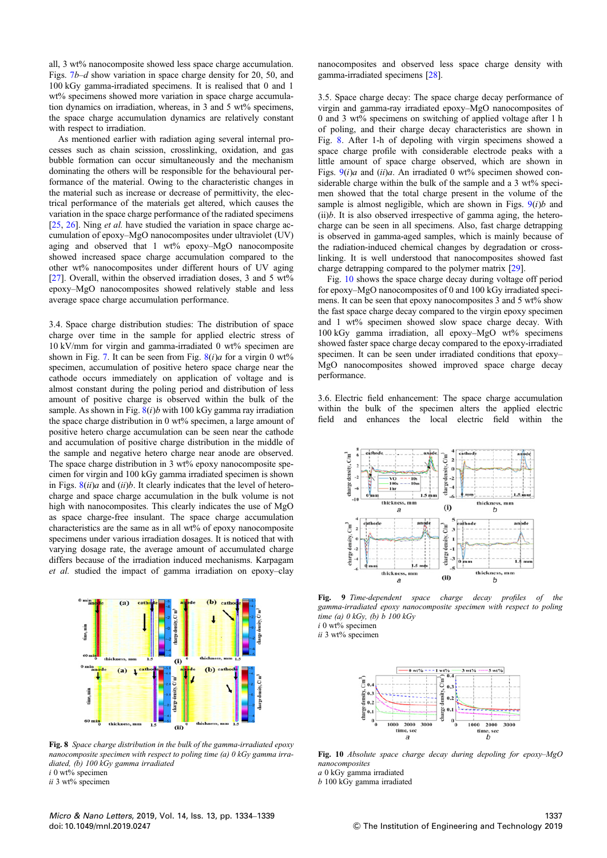all, 3 wt% nanocomposite showed less space charge accumulation. Figs. 7*b*–*d* show variation in space charge density for 20, 50, and 100 kGy gamma-irradiated specimens. It is realised that 0 and 1 wt% specimens showed more variation in space charge accumulation dynamics on irradiation, whereas, in 3 and 5 wt% specimens, the space charge accumulation dynamics are relatively constant with respect to irradiation.

As mentioned earlier with radiation aging several internal processes such as chain scission, crosslinking, oxidation, and gas bubble formation can occur simultaneously and the mechanism dominating the others will be responsible for the behavioural performance of the material. Owing to the characteristic changes in the material such as increase or decrease of permittivity, the electrical performance of the materials get altered, which causes the variation in the space charge performance of the radiated specimens [25, 26]. Ning *et al.* have studied the variation in space charge accumulation of epoxy–MgO nanocomposites under ultraviolet (UV) aging and observed that 1 wt% epoxy–MgO nanocomposite showed increased space charge accumulation compared to the other wt% nanocomposites under different hours of UV aging [27]. Overall, within the observed irradiation doses, 3 and 5 wt% epoxy–MgO nanocomposites showed relatively stable and less average space charge accumulation performance.

3.4. Space charge distribution studies: The distribution of space charge over time in the sample for applied electric stress of 10 kV/mm for virgin and gamma-irradiated 0 wt% specimen are shown in Fig. 7. It can be seen from Fig.  $8(i)a$  for a virgin 0 wt% specimen, accumulation of positive hetero space charge near the cathode occurs immediately on application of voltage and is almost constant during the poling period and distribution of less amount of positive charge is observed within the bulk of the sample. As shown in Fig. 8(*i*)*b* with 100 kGy gamma ray irradiation the space charge distribution in 0 wt% specimen, a large amount of positive hetero charge accumulation can be seen near the cathode and accumulation of positive charge distribution in the middle of the sample and negative hetero charge near anode are observed. The space charge distribution in 3 wt% epoxy nanocomposite specimen for virgin and 100 kGy gamma irradiated specimen is shown in Figs. 8(*ii*)*a* and (*ii*)*b*. It clearly indicates that the level of heterocharge and space charge accumulation in the bulk volume is not high with nanocomposites. This clearly indicates the use of MgO as space charge-free insulant. The space charge accumulation characteristics are the same as in all wt% of epoxy nanocomposite specimens under various irradiation dosages. It is noticed that with varying dosage rate, the average amount of accumulated charge differs because of the irradiation induced mechanisms. Karpagam *et al.* studied the impact of gamma irradiation on epoxy–clay



Fig. 8 *Space charge distribution in the bulk of the gamma-irradiated epoxy nanocomposite specimen with respect to poling time (a) 0 kGy gamma irradiated, (b) 100 kGy gamma irradiated i* 0 wt% specimen

*ii* 3 wt% specimen

nanocomposites and observed less space charge density with gamma-irradiated specimens [28].

3.5. Space charge decay: The space charge decay performance of virgin and gamma-ray irradiated epoxy–MgO nanocomposites of 0 and 3 wt% specimens on switching of applied voltage after 1 h of poling, and their charge decay characteristics are shown in Fig. 8. After 1-h of depoling with virgin specimens showed a space charge profile with considerable electrode peaks with a little amount of space charge observed, which are shown in Figs. 9(*i*)*a* and (*ii*)*a*. An irradiated 0 wt% specimen showed considerable charge within the bulk of the sample and a 3 wt% specimen showed that the total charge present in the volume of the sample is almost negligible, which are shown in Figs.  $9(i)b$  and  $(ii)b$ . It is also observed irrespective of gamma aging, the heterocharge can be seen in all specimens. Also, fast charge detrapping is observed in gamma-aged samples, which is mainly because of the radiation-induced chemical changes by degradation or crosslinking. It is well understood that nanocomposites showed fast charge detrapping compared to the polymer matrix [29].

Fig. 10 shows the space charge decay during voltage off period for epoxy–MgO nanocomposites of 0 and 100 kGy irradiated specimens. It can be seen that epoxy nanocomposites 3 and 5 wt% show the fast space charge decay compared to the virgin epoxy specimen and 1 wt% specimen showed slow space charge decay. With 100 kGy gamma irradiation, all epoxy–MgO wt% specimens showed faster space charge decay compared to the epoxy-irradiated specimen. It can be seen under irradiated conditions that epoxy– MgO nanocomposites showed improved space charge decay performance.

3.6. Electric field enhancement: The space charge accumulation within the bulk of the specimen alters the applied electric field and enhances the local electric field within the



Fig. 9 *Time-dependent space charge decay pro*fi*les of the gamma-irradiated epoxy nanocomposite specimen with respect to poling time (a) 0 kGy, (b) b 100 kGy i* 0 wt% specimen

*ii* 3 wt% specimen



Fig. 10 *Absolute space charge decay during depoling for epoxy*–*MgO nanocomposites*

*a* 0 kGy gamma irradiated

*b* 100 kGy gamma irradiated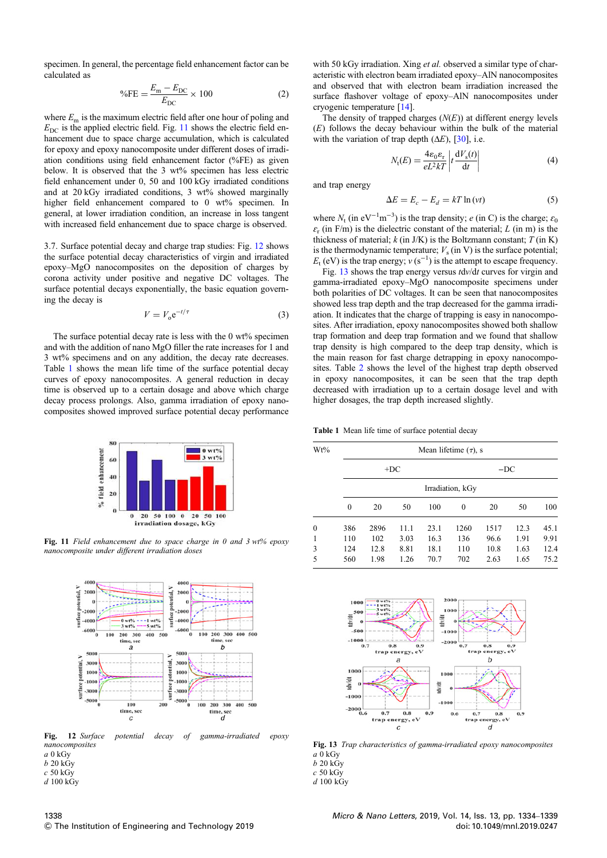specimen. In general, the percentage field enhancement factor can be calculated as

$$
%FE = \frac{E_{\rm m} - E_{\rm DC}}{E_{\rm DC}} \times 100
$$
 (2)

where  $E<sub>m</sub>$  is the maximum electric field after one hour of poling and  $E_{\text{DC}}$  is the applied electric field. Fig. 11 shows the electric field enhancement due to space charge accumulation, which is calculated for epoxy and epoxy nanocomposite under different doses of irradiation conditions using field enhancement factor (%FE) as given below. It is observed that the 3 wt% specimen has less electric field enhancement under 0, 50 and 100 kGy irradiated conditions and at 20 kGy irradiated conditions, 3 wt% showed marginally higher field enhancement compared to 0 wt% specimen. In general, at lower irradiation condition, an increase in loss tangent with increased field enhancement due to space charge is observed.

3.7. Surface potential decay and charge trap studies: Fig. 12 shows the surface potential decay characteristics of virgin and irradiated epoxy–MgO nanocomposites on the deposition of charges by corona activity under positive and negative DC voltages. The surface potential decays exponentially, the basic equation governing the decay is

$$
V = V_0 e^{-t/\tau} \tag{3}
$$

The surface potential decay rate is less with the 0 wt% specimen and with the addition of nano MgO filler the rate increases for 1 and 3 wt% specimens and on any addition, the decay rate decreases. Table 1 shows the mean life time of the surface potential decay curves of epoxy nanocomposites. A general reduction in decay time is observed up to a certain dosage and above which charge decay process prolongs. Also, gamma irradiation of epoxy nanocomposites showed improved surface potential decay performance



Fig. 11 *Field enhancement due to space charge in 0 and 3 wt% epoxy nanocomposite under different irradiation doses*



Fig. 12 *Surface potential decay of gamma-irradiated epoxy nanocomposites*

*a* 0 kGy

*b* 20 kGy *c* 50 kGy

*d* 100 kGy

1338  $©$  The Institution of Engineering and Technology 2019 with 50 kGy irradiation. Xing *et al.* observed a similar type of characteristic with electron beam irradiated epoxy–AlN nanocomposites and observed that with electron beam irradiation increased the surface flashover voltage of epoxy–AlN nanocomposites under cryogenic temperature [14].

The density of trapped charges  $(N(E))$  at different energy levels (*E*) follows the decay behaviour within the bulk of the material with the variation of trap depth  $(\Delta E)$ ,  $[30]$ , i.e.

$$
N_{\rm t}(E) = \frac{4\varepsilon_0 \varepsilon_{\rm r}}{eL^2 kT} \left| t \frac{\mathrm{d}V_{\rm s}(t)}{\mathrm{d}t} \right| \tag{4}
$$

and trap energy

$$
\Delta E = E_c - E_d = kT \ln(vt) \tag{5}
$$

where  $N_t$  (in  $eV^{-1}m^{-3}$ ) is the trap density; *e* (in C) is the charge;  $\varepsilon_0$  $\varepsilon$ <sub>r</sub> (in F/m) is the dielectric constant of the material; *L* (in m) is the thickness of material; *k* (in J/K) is the Boltzmann constant; *T* (in K) is the thermodynamic temperature;  $V_s$  (in V) is the surface potential; *E*<sub>t</sub> (eV) is the trap energy; *v* (s<sup>−1</sup>) is the attempt to escape frequency.

Fig. 13 shows the trap energy versus *t*d*v*/d*t* curves for virgin and gamma-irradiated epoxy–MgO nanocomposite specimens under both polarities of DC voltages. It can be seen that nanocomposites showed less trap depth and the trap decreased for the gamma irradiation. It indicates that the charge of trapping is easy in nanocomposites. After irradiation, epoxy nanocomposites showed both shallow trap formation and deep trap formation and we found that shallow trap density is high compared to the deep trap density, which is the main reason for fast charge detrapping in epoxy nanocomposites. Table 2 shows the level of the highest trap depth observed in epoxy nanocomposites, it can be seen that the trap depth decreased with irradiation up to a certain dosage level and with higher dosages, the trap depth increased slightly.

Table 1 Mean life time of surface potential decay

| $Wt\%$       | Mean lifetime $(\tau)$ , s |      |       |      |          |      |      |      |  |  |
|--------------|----------------------------|------|-------|------|----------|------|------|------|--|--|
|              |                            |      | $+DC$ |      | $-DC$    |      |      |      |  |  |
|              | Irradiation, kGy           |      |       |      |          |      |      |      |  |  |
|              | $\theta$                   | 20   | 50    | 100  | $\theta$ | 20   | 50   | 100  |  |  |
| $\mathbf{0}$ | 386                        | 2896 | 11.1  | 23.1 | 1260     | 1517 | 12.3 | 45.1 |  |  |
| 1            | 110                        | 102  | 3.03  | 16.3 | 136      | 96.6 | 1.91 | 9.91 |  |  |
| 3            | 124                        | 12.8 | 8.81  | 18.1 | 110      | 10.8 | 1.63 | 12.4 |  |  |
| 5            | 560                        | 1.98 | 1.26  | 70.7 | 702      | 2.63 | 1.65 | 75.2 |  |  |



Fig. 13 *Trap characteristics of gamma-irradiated epoxy nanocomposites a* 0 kGy

*b* 20 kGy

*c* 50 kGy *d* 100 kGy